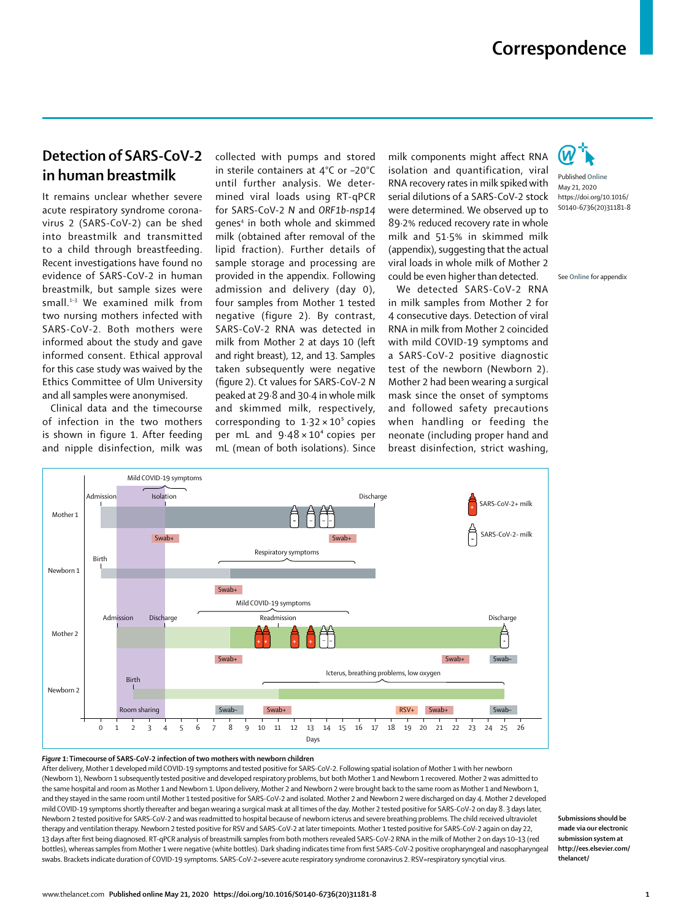## **Correspondence**

## **Detection of SARS-CoV-2 in human breastmilk**

It remains unclear whether severe acute respiratory syndrome coronavirus 2 (SARS-CoV-2) can be shed into breastmilk and transmitted to a child through breastfeeding. Recent investigations have found no evidence of SARS-CoV-2 in human breastmilk, but sample sizes were small.1–3 We examined milk from two nursing mothers infected with SARS-CoV-2. Both mothers were informed about the study and gave informed consent. Ethical approval for this case study was waived by the Ethics Committee of Ulm University and all samples were anonymised.

Clinical data and the timecourse of infection in the two mothers is shown in figure 1. After feeding and nipple disinfection, milk was collected with pumps and stored in sterile containers at 4°C or –20°C until further analysis. We determined viral loads using RT-qPCR for SARS-CoV-2 *N* and *ORF1b-nsp14* genes4 in both whole and skimmed milk (obtained after removal of the lipid fraction). Further details of sample storage and processing are provided in the appendix. Following admission and delivery (day 0), four samples from Mother 1 tested negative (figure 2). By contrast, SARS-CoV-2 RNA was detected in milk from Mother 2 at days 10 (left and right breast), 12, and 13. Samples taken subsequently were negative (figure 2). Ct values for SARS-CoV-2 *N* peaked at 29∙8 and 30∙4 in whole milk and skimmed milk, respectively, corresponding to 1∙32 × 10⁵ copies per mL and 9⋅48 × 10<sup>4</sup> copies per mL (mean of both isolations). Since

milk components might affect RNA isolation and quantification, viral RNA recovery rates in milk spiked with serial dilutions of a SARS-CoV-2 stock were determined. We observed up to 89∙2% reduced recovery rate in whole milk and 51∙5% in skimmed milk (appendix), suggesting that the actual viral loads in whole milk of Mother 2 could be even higher than detected.

We detected SARS-CoV-2 RNA in milk samples from Mother 2 for 4 consecutive days. Detection of viral RNA in milk from Mother 2 coincided with mild COVID-19 symptoms and a SARS-CoV-2 positive diagnostic test of the newborn (Newborn 2). Mother 2 had been wearing a surgical mask since the onset of symptoms and followed safety precautions when handling or feeding the neonate (including proper hand and breast disinfection, strict washing,



Published **Online** May 21, 2020 https://doi.org/10.1016/ S0140-6736(20)31181-8

See **Online** for appendix



## *Figure 1***: Timecourse of SARS-CoV-2 infection of two mothers with newborn children**

After delivery, Mother 1 developed mild COVID-19 symptoms and tested positive for SARS-CoV-2. Following spatial isolation of Mother 1 with her newborn (Newborn 1), Newborn 1 subsequently tested positive and developed respiratory problems, but both Mother 1 and Newborn 1 recovered. Mother 2 was admitted to the same hospital and room as Mother 1 and Newborn 1. Upon delivery, Mother 2 and Newborn 2 were brought back to the same room as Mother 1 and Newborn 1, and they stayed in the same room until Mother 1 tested positive for SARS-CoV-2 and isolated. Mother 2 and Newborn 2 were discharged on day 4. Mother 2 developed mild COVID-19 symptoms shortly thereafter and began wearing a surgical mask at all times of the day. Mother 2 tested positive for SARS-CoV-2 on day 8. 3 days later, Newborn 2 tested positive for SARS-CoV-2 and was readmitted to hospital because of newborn icterus and severe breathing problems. The child received ultraviolet therapy and ventilation therapy. Newborn 2 tested positive for RSV and SARS-CoV-2 at later timepoints. Mother 1 tested positive for SARS-CoV-2 again on day 22, 13 days after first being diagnosed. RT-qPCR analysis of breastmilk samples from both mothers revealed SARS-CoV-2 RNA in the milk of Mother 2 on days 10–13 (red bottles), whereas samples from Mother 1 were negative (white bottles). Dark shading indicates time from first SARS-CoV-2 positive oropharyngeal and nasopharyngeal swabs. Brackets indicate duration of COVID-19 symptoms. SARS-CoV-2=severe acute respiratory syndrome coronavirus 2. RSV=respiratory syncytial virus.

**Submissions should be made via our electronic submission system at http://ees.elsevier.com/ thelancet/**